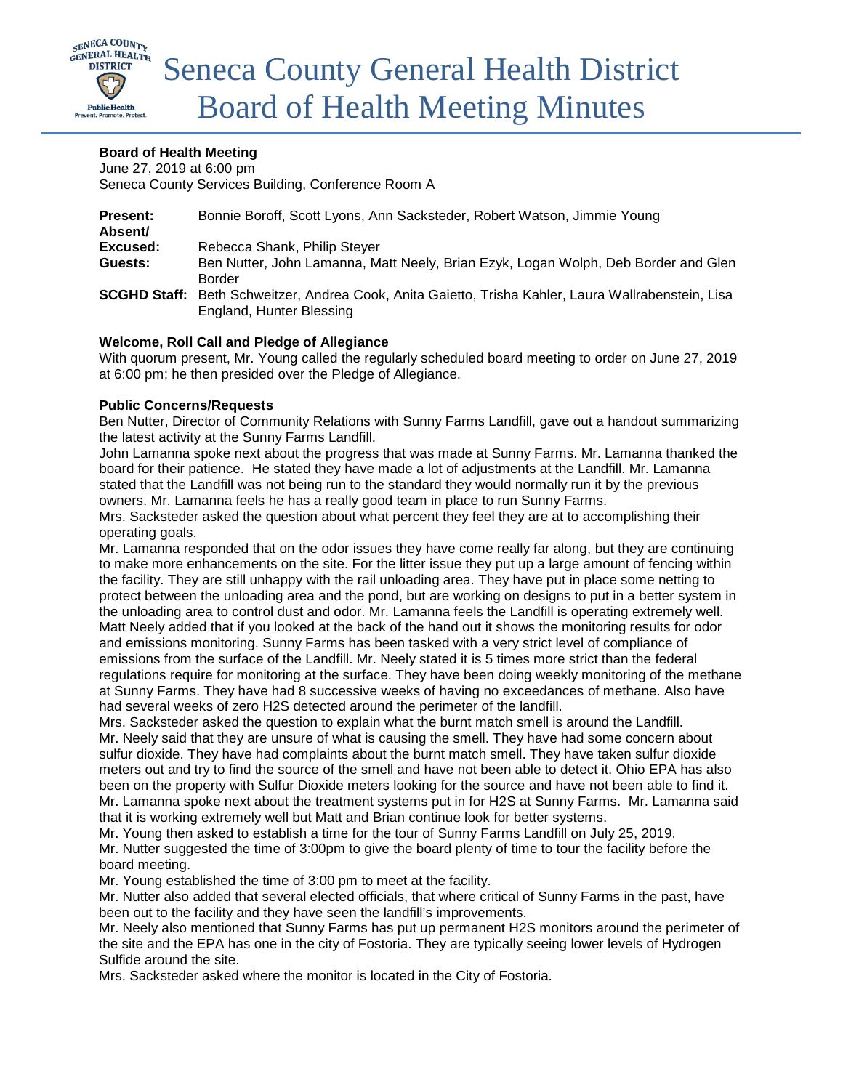

# **Board of Health Meeting**

June 27, 2019 at 6:00 pm Seneca County Services Building, Conference Room A

| <b>Present:</b><br>Absent/ | Bonnie Boroff, Scott Lyons, Ann Sacksteder, Robert Watson, Jimmie Young                             |
|----------------------------|-----------------------------------------------------------------------------------------------------|
| Excused:                   | Rebecca Shank, Philip Steyer                                                                        |
| Guests:                    | Ben Nutter, John Lamanna, Matt Neely, Brian Ezyk, Logan Wolph, Deb Border and Glen                  |
|                            | <b>Border</b>                                                                                       |
|                            | SCGHD Staff: Beth Schweitzer, Andrea Cook, Anita Gaietto, Trisha Kahler, Laura Wallrabenstein, Lisa |
|                            | England, Hunter Blessing                                                                            |

## **Welcome, Roll Call and Pledge of Allegiance**

With quorum present, Mr. Young called the regularly scheduled board meeting to order on June 27, 2019 at 6:00 pm; he then presided over the Pledge of Allegiance.

#### **Public Concerns/Requests**

Ben Nutter, Director of Community Relations with Sunny Farms Landfill, gave out a handout summarizing the latest activity at the Sunny Farms Landfill.

John Lamanna spoke next about the progress that was made at Sunny Farms. Mr. Lamanna thanked the board for their patience. He stated they have made a lot of adjustments at the Landfill. Mr. Lamanna stated that the Landfill was not being run to the standard they would normally run it by the previous owners. Mr. Lamanna feels he has a really good team in place to run Sunny Farms.

Mrs. Sacksteder asked the question about what percent they feel they are at to accomplishing their operating goals.

Mr. Lamanna responded that on the odor issues they have come really far along, but they are continuing to make more enhancements on the site. For the litter issue they put up a large amount of fencing within the facility. They are still unhappy with the rail unloading area. They have put in place some netting to protect between the unloading area and the pond, but are working on designs to put in a better system in the unloading area to control dust and odor. Mr. Lamanna feels the Landfill is operating extremely well. Matt Neely added that if you looked at the back of the hand out it shows the monitoring results for odor and emissions monitoring. Sunny Farms has been tasked with a very strict level of compliance of emissions from the surface of the Landfill. Mr. Neely stated it is 5 times more strict than the federal regulations require for monitoring at the surface. They have been doing weekly monitoring of the methane at Sunny Farms. They have had 8 successive weeks of having no exceedances of methane. Also have had several weeks of zero H2S detected around the perimeter of the landfill.

Mrs. Sacksteder asked the question to explain what the burnt match smell is around the Landfill. Mr. Neely said that they are unsure of what is causing the smell. They have had some concern about sulfur dioxide. They have had complaints about the burnt match smell. They have taken sulfur dioxide meters out and try to find the source of the smell and have not been able to detect it. Ohio EPA has also been on the property with Sulfur Dioxide meters looking for the source and have not been able to find it. Mr. Lamanna spoke next about the treatment systems put in for H2S at Sunny Farms. Mr. Lamanna said that it is working extremely well but Matt and Brian continue look for better systems.

Mr. Young then asked to establish a time for the tour of Sunny Farms Landfill on July 25, 2019. Mr. Nutter suggested the time of 3:00pm to give the board plenty of time to tour the facility before the board meeting.

Mr. Young established the time of 3:00 pm to meet at the facility.

Mr. Nutter also added that several elected officials, that where critical of Sunny Farms in the past, have been out to the facility and they have seen the landfill's improvements.

Mr. Neely also mentioned that Sunny Farms has put up permanent H2S monitors around the perimeter of the site and the EPA has one in the city of Fostoria. They are typically seeing lower levels of Hydrogen Sulfide around the site.

Mrs. Sacksteder asked where the monitor is located in the City of Fostoria.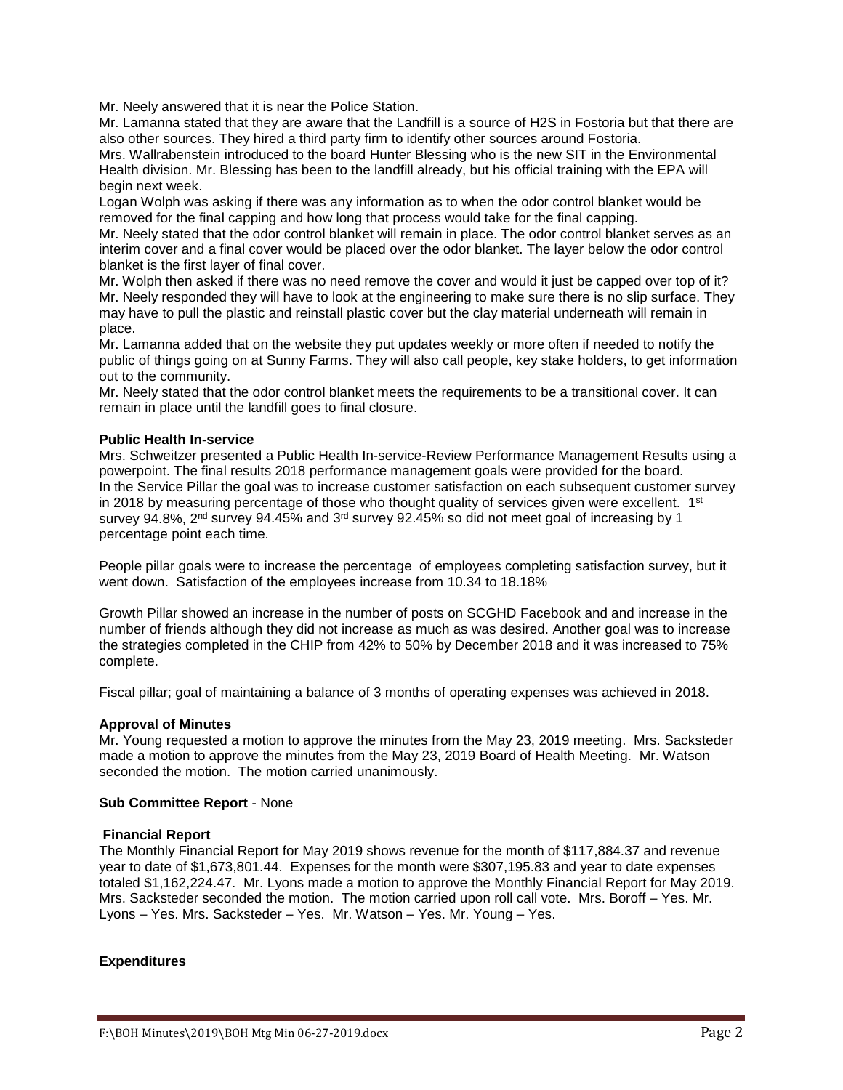Mr. Neely answered that it is near the Police Station.

Mr. Lamanna stated that they are aware that the Landfill is a source of H2S in Fostoria but that there are also other sources. They hired a third party firm to identify other sources around Fostoria.

Mrs. Wallrabenstein introduced to the board Hunter Blessing who is the new SIT in the Environmental Health division. Mr. Blessing has been to the landfill already, but his official training with the EPA will begin next week.

Logan Wolph was asking if there was any information as to when the odor control blanket would be removed for the final capping and how long that process would take for the final capping.

Mr. Neely stated that the odor control blanket will remain in place. The odor control blanket serves as an interim cover and a final cover would be placed over the odor blanket. The layer below the odor control blanket is the first layer of final cover.

Mr. Wolph then asked if there was no need remove the cover and would it just be capped over top of it? Mr. Neely responded they will have to look at the engineering to make sure there is no slip surface. They may have to pull the plastic and reinstall plastic cover but the clay material underneath will remain in place.

Mr. Lamanna added that on the website they put updates weekly or more often if needed to notify the public of things going on at Sunny Farms. They will also call people, key stake holders, to get information out to the community.

Mr. Neely stated that the odor control blanket meets the requirements to be a transitional cover. It can remain in place until the landfill goes to final closure.

#### **Public Health In-service**

Mrs. Schweitzer presented a Public Health In-service-Review Performance Management Results using a powerpoint. The final results 2018 performance management goals were provided for the board. In the Service Pillar the goal was to increase customer satisfaction on each subsequent customer survey in 2018 by measuring percentage of those who thought quality of services given were excellent.  $1<sup>st</sup>$ survey 94.8%, 2<sup>nd</sup> survey 94.45% and 3<sup>rd</sup> survey 92.45% so did not meet goal of increasing by 1 percentage point each time.

People pillar goals were to increase the percentage of employees completing satisfaction survey, but it went down. Satisfaction of the employees increase from 10.34 to 18.18%

Growth Pillar showed an increase in the number of posts on SCGHD Facebook and and increase in the number of friends although they did not increase as much as was desired. Another goal was to increase the strategies completed in the CHIP from 42% to 50% by December 2018 and it was increased to 75% complete.

Fiscal pillar; goal of maintaining a balance of 3 months of operating expenses was achieved in 2018.

#### **Approval of Minutes**

Mr. Young requested a motion to approve the minutes from the May 23, 2019 meeting. Mrs. Sacksteder made a motion to approve the minutes from the May 23, 2019 Board of Health Meeting. Mr. Watson seconded the motion. The motion carried unanimously.

#### **Sub Committee Report** - None

#### **Financial Report**

The Monthly Financial Report for May 2019 shows revenue for the month of \$117,884.37 and revenue year to date of \$1,673,801.44. Expenses for the month were \$307,195.83 and year to date expenses totaled \$1,162,224.47. Mr. Lyons made a motion to approve the Monthly Financial Report for May 2019. Mrs. Sacksteder seconded the motion. The motion carried upon roll call vote. Mrs. Boroff – Yes. Mr. Lyons – Yes. Mrs. Sacksteder – Yes. Mr. Watson – Yes. Mr. Young – Yes.

#### **Expenditures**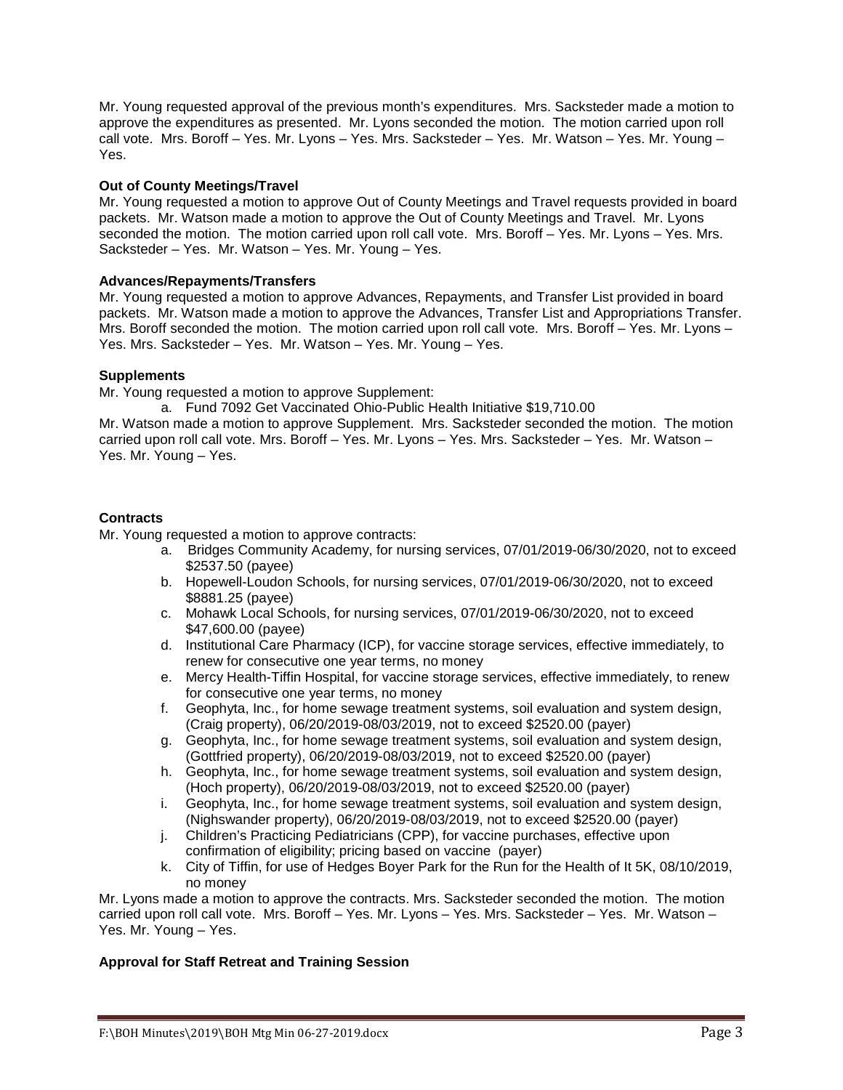Mr. Young requested approval of the previous month's expenditures. Mrs. Sacksteder made a motion to approve the expenditures as presented. Mr. Lyons seconded the motion. The motion carried upon roll call vote. Mrs. Boroff – Yes. Mr. Lyons – Yes. Mrs. Sacksteder – Yes. Mr. Watson – Yes. Mr. Young – Yes.

## **Out of County Meetings/Travel**

Mr. Young requested a motion to approve Out of County Meetings and Travel requests provided in board packets. Mr. Watson made a motion to approve the Out of County Meetings and Travel. Mr. Lyons seconded the motion. The motion carried upon roll call vote. Mrs. Boroff – Yes. Mr. Lyons – Yes. Mrs. Sacksteder – Yes. Mr. Watson – Yes. Mr. Young – Yes.

## **Advances/Repayments/Transfers**

Mr. Young requested a motion to approve Advances, Repayments, and Transfer List provided in board packets. Mr. Watson made a motion to approve the Advances, Transfer List and Appropriations Transfer. Mrs. Boroff seconded the motion. The motion carried upon roll call vote. Mrs. Boroff – Yes. Mr. Lyons – Yes. Mrs. Sacksteder – Yes. Mr. Watson – Yes. Mr. Young – Yes.

## **Supplements**

Mr. Young requested a motion to approve Supplement:

a. Fund 7092 Get Vaccinated Ohio-Public Health Initiative \$19,710.00

Mr. Watson made a motion to approve Supplement. Mrs. Sacksteder seconded the motion. The motion carried upon roll call vote. Mrs. Boroff – Yes. Mr. Lyons – Yes. Mrs. Sacksteder – Yes. Mr. Watson – Yes. Mr. Young – Yes.

## **Contracts**

Mr. Young requested a motion to approve contracts:

- a. Bridges Community Academy, for nursing services, 07/01/2019-06/30/2020, not to exceed \$2537.50 (payee)
- b. Hopewell-Loudon Schools, for nursing services, 07/01/2019-06/30/2020, not to exceed \$8881.25 (payee)
- c. Mohawk Local Schools, for nursing services, 07/01/2019-06/30/2020, not to exceed \$47,600.00 (payee)
- d. Institutional Care Pharmacy (ICP), for vaccine storage services, effective immediately, to renew for consecutive one year terms, no money
- e. Mercy Health-Tiffin Hospital, for vaccine storage services, effective immediately, to renew for consecutive one year terms, no money
- f. Geophyta, Inc., for home sewage treatment systems, soil evaluation and system design, (Craig property), 06/20/2019-08/03/2019, not to exceed \$2520.00 (payer)
- g. Geophyta, Inc., for home sewage treatment systems, soil evaluation and system design, (Gottfried property), 06/20/2019-08/03/2019, not to exceed \$2520.00 (payer)
- h. Geophyta, Inc., for home sewage treatment systems, soil evaluation and system design, (Hoch property), 06/20/2019-08/03/2019, not to exceed \$2520.00 (payer)
- i. Geophyta, Inc., for home sewage treatment systems, soil evaluation and system design, (Nighswander property), 06/20/2019-08/03/2019, not to exceed \$2520.00 (payer)
- j. Children's Practicing Pediatricians (CPP), for vaccine purchases, effective upon confirmation of eligibility; pricing based on vaccine (payer)
- k. City of Tiffin, for use of Hedges Boyer Park for the Run for the Health of It 5K, 08/10/2019, no money

Mr. Lyons made a motion to approve the contracts. Mrs. Sacksteder seconded the motion. The motion carried upon roll call vote. Mrs. Boroff – Yes. Mr. Lyons – Yes. Mrs. Sacksteder – Yes. Mr. Watson – Yes. Mr. Young – Yes.

#### **Approval for Staff Retreat and Training Session**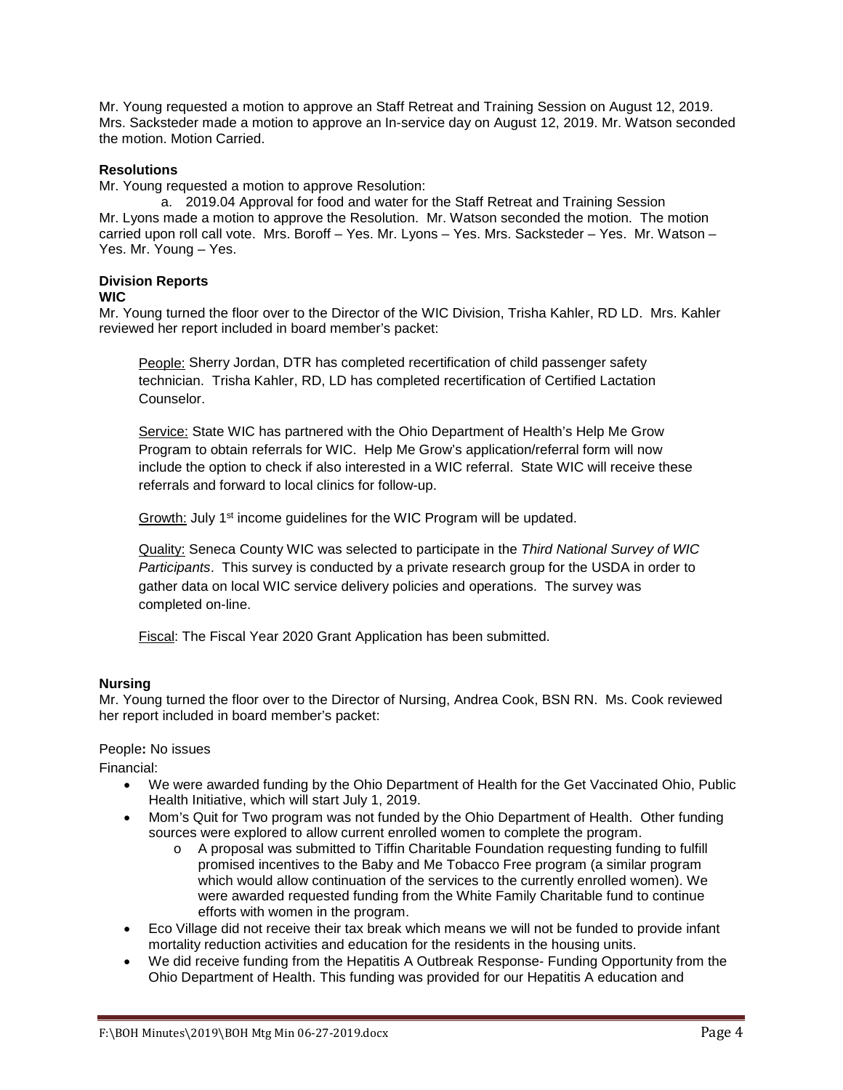Mr. Young requested a motion to approve an Staff Retreat and Training Session on August 12, 2019. Mrs. Sacksteder made a motion to approve an In-service day on August 12, 2019. Mr. Watson seconded the motion. Motion Carried.

# **Resolutions**

Mr. Young requested a motion to approve Resolution:

a. 2019.04 Approval for food and water for the Staff Retreat and Training Session Mr. Lyons made a motion to approve the Resolution. Mr. Watson seconded the motion. The motion carried upon roll call vote. Mrs. Boroff – Yes. Mr. Lyons – Yes. Mrs. Sacksteder – Yes. Mr. Watson – Yes. Mr. Young – Yes.

#### **Division Reports WIC**

Mr. Young turned the floor over to the Director of the WIC Division, Trisha Kahler, RD LD. Mrs. Kahler reviewed her report included in board member's packet:

People: Sherry Jordan, DTR has completed recertification of child passenger safety technician. Trisha Kahler, RD, LD has completed recertification of Certified Lactation Counselor.

Service: State WIC has partnered with the Ohio Department of Health's Help Me Grow Program to obtain referrals for WIC. Help Me Grow's application/referral form will now include the option to check if also interested in a WIC referral. State WIC will receive these referrals and forward to local clinics for follow-up.

Growth: July 1st income guidelines for the WIC Program will be updated.

Quality: Seneca County WIC was selected to participate in the *Third National Survey of WIC Participants*. This survey is conducted by a private research group for the USDA in order to gather data on local WIC service delivery policies and operations. The survey was completed on-line.

Fiscal: The Fiscal Year 2020 Grant Application has been submitted.

# **Nursing**

Mr. Young turned the floor over to the Director of Nursing, Andrea Cook, BSN RN. Ms. Cook reviewed her report included in board member's packet:

# People**:** No issues

Financial:

- We were awarded funding by the Ohio Department of Health for the Get Vaccinated Ohio, Public Health Initiative, which will start July 1, 2019.
- Mom's Quit for Two program was not funded by the Ohio Department of Health. Other funding sources were explored to allow current enrolled women to complete the program.
	- o A proposal was submitted to Tiffin Charitable Foundation requesting funding to fulfill promised incentives to the Baby and Me Tobacco Free program (a similar program which would allow continuation of the services to the currently enrolled women). We were awarded requested funding from the White Family Charitable fund to continue efforts with women in the program.
- Eco Village did not receive their tax break which means we will not be funded to provide infant mortality reduction activities and education for the residents in the housing units.
- We did receive funding from the Hepatitis A Outbreak Response- Funding Opportunity from the Ohio Department of Health. This funding was provided for our Hepatitis A education and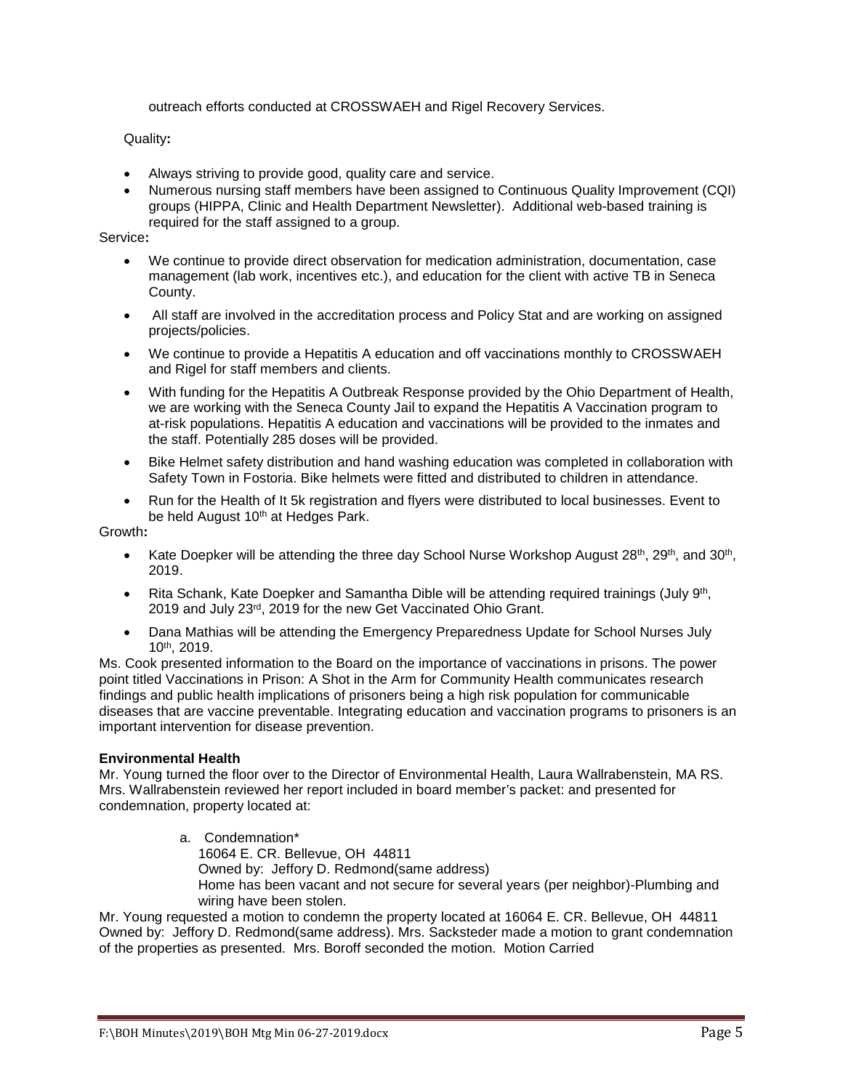outreach efforts conducted at CROSSWAEH and Rigel Recovery Services.

Quality**:** 

- Always striving to provide good, quality care and service.
- Numerous nursing staff members have been assigned to Continuous Quality Improvement (CQI) groups (HIPPA, Clinic and Health Department Newsletter). Additional web-based training is required for the staff assigned to a group.

## Service**:**

- We continue to provide direct observation for medication administration, documentation, case management (lab work, incentives etc.), and education for the client with active TB in Seneca County.
- All staff are involved in the accreditation process and Policy Stat and are working on assigned projects/policies.
- We continue to provide a Hepatitis A education and off vaccinations monthly to CROSSWAEH and Rigel for staff members and clients.
- With funding for the Hepatitis A Outbreak Response provided by the Ohio Department of Health, we are working with the Seneca County Jail to expand the Hepatitis A Vaccination program to at-risk populations. Hepatitis A education and vaccinations will be provided to the inmates and the staff. Potentially 285 doses will be provided.
- Bike Helmet safety distribution and hand washing education was completed in collaboration with Safety Town in Fostoria. Bike helmets were fitted and distributed to children in attendance.
- Run for the Health of It 5k registration and flyers were distributed to local businesses. Event to be held August 10<sup>th</sup> at Hedges Park.

Growth**:**

- Kate Doepker will be attending the three day School Nurse Workshop August  $28<sup>th</sup>$ ,  $29<sup>th</sup>$ , and  $30<sup>th</sup>$ , 2019.
- Rita Schank, Kate Doepker and Samantha Dible will be attending required trainings (July 9th, 2019 and July 23rd, 2019 for the new Get Vaccinated Ohio Grant.
- Dana Mathias will be attending the Emergency Preparedness Update for School Nurses July 10th, 2019.

Ms. Cook presented information to the Board on the importance of vaccinations in prisons. The power point titled Vaccinations in Prison: A Shot in the Arm for Community Health communicates research findings and public health implications of prisoners being a high risk population for communicable diseases that are vaccine preventable. Integrating education and vaccination programs to prisoners is an important intervention for disease prevention.

# **Environmental Health**

Mr. Young turned the floor over to the Director of Environmental Health, Laura Wallrabenstein, MA RS. Mrs. Wallrabenstein reviewed her report included in board member's packet: and presented for condemnation, property located at:

> a. Condemnation\* 16064 E. CR. Bellevue, OH 44811 Owned by: Jeffory D. Redmond(same address) Home has been vacant and not secure for several years (per neighbor)-Plumbing and wiring have been stolen.

Mr. Young requested a motion to condemn the property located at 16064 E. CR. Bellevue, OH 44811 Owned by: Jeffory D. Redmond(same address). Mrs. Sacksteder made a motion to grant condemnation of the properties as presented. Mrs. Boroff seconded the motion. Motion Carried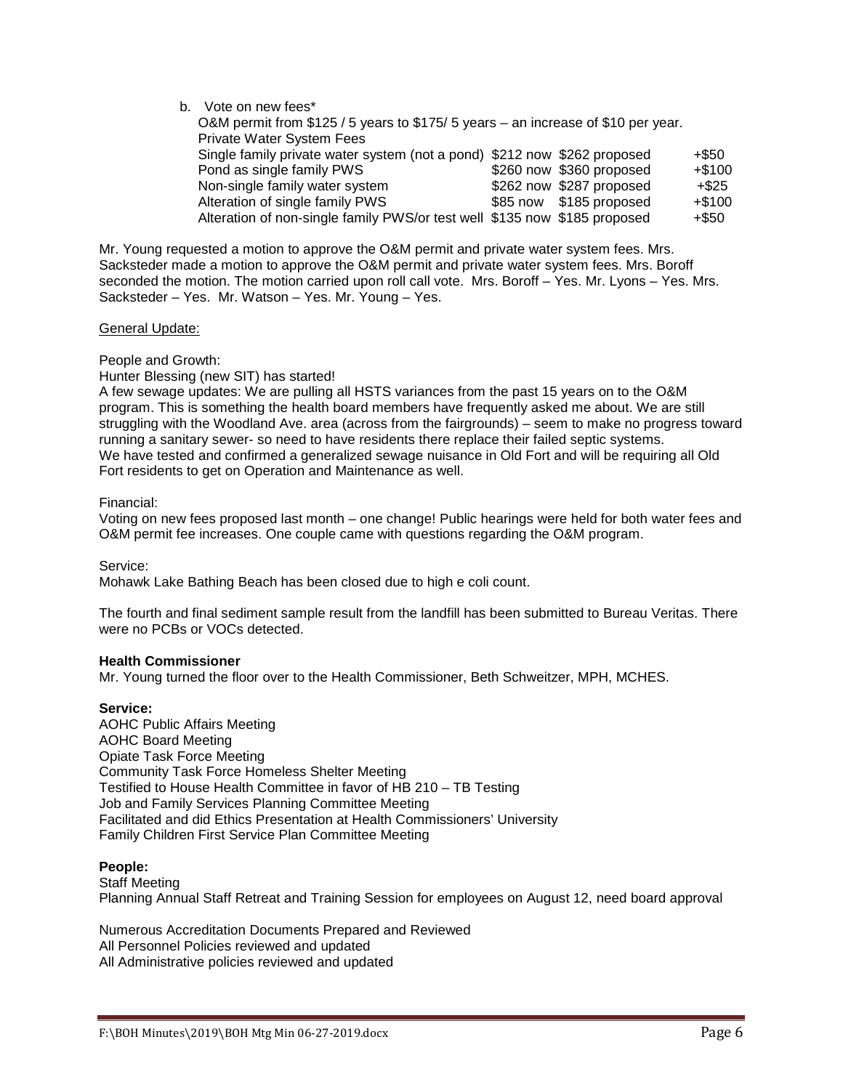| b. Vote on new fees*                                                              |  |                          |          |
|-----------------------------------------------------------------------------------|--|--------------------------|----------|
| O&M permit from \$125 / 5 years to \$175/ 5 years – an increase of \$10 per year. |  |                          |          |
| Private Water System Fees                                                         |  |                          |          |
| Single family private water system (not a pond) \$212 now \$262 proposed          |  |                          | +\$50    |
| Pond as single family PWS                                                         |  | \$260 now \$360 proposed | $+$100$  |
| Non-single family water system                                                    |  | \$262 now \$287 proposed | $+$ \$25 |
| Alteration of single family PWS                                                   |  | \$85 now \$185 proposed  | $+$100$  |
| Alteration of non-single family PWS/or test well \$135 now \$185 proposed         |  |                          | $+$ \$50 |

Mr. Young requested a motion to approve the O&M permit and private water system fees. Mrs. Sacksteder made a motion to approve the O&M permit and private water system fees. Mrs. Boroff seconded the motion. The motion carried upon roll call vote. Mrs. Boroff – Yes. Mr. Lyons – Yes. Mrs. Sacksteder – Yes. Mr. Watson – Yes. Mr. Young – Yes.

#### General Update:

People and Growth:

Hunter Blessing (new SIT) has started!

A few sewage updates: We are pulling all HSTS variances from the past 15 years on to the O&M program. This is something the health board members have frequently asked me about. We are still struggling with the Woodland Ave. area (across from the fairgrounds) – seem to make no progress toward running a sanitary sewer- so need to have residents there replace their failed septic systems. We have tested and confirmed a generalized sewage nuisance in Old Fort and will be requiring all Old Fort residents to get on Operation and Maintenance as well.

## Financial:

Voting on new fees proposed last month – one change! Public hearings were held for both water fees and O&M permit fee increases. One couple came with questions regarding the O&M program.

Service:

Mohawk Lake Bathing Beach has been closed due to high e coli count.

The fourth and final sediment sample result from the landfill has been submitted to Bureau Veritas. There were no PCBs or VOCs detected.

#### **Health Commissioner**

Mr. Young turned the floor over to the Health Commissioner, Beth Schweitzer, MPH, MCHES.

# **Service:**

AOHC Public Affairs Meeting AOHC Board Meeting Opiate Task Force Meeting Community Task Force Homeless Shelter Meeting Testified to House Health Committee in favor of HB 210 – TB Testing Job and Family Services Planning Committee Meeting Facilitated and did Ethics Presentation at Health Commissioners' University Family Children First Service Plan Committee Meeting

# **People:**

Staff Meeting Planning Annual Staff Retreat and Training Session for employees on August 12, need board approval

Numerous Accreditation Documents Prepared and Reviewed All Personnel Policies reviewed and updated All Administrative policies reviewed and updated